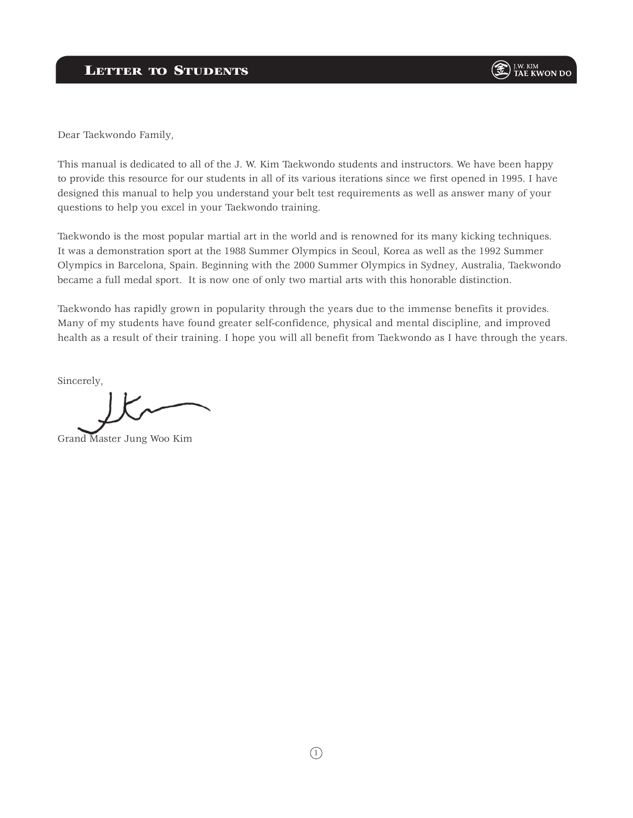Dear Taekwondo Family,

This manual is dedicated to all of the J. W. Kim Taekwondo students and instructors. We have been happy to provide this resource for our students in all of its various iterations since we first opened in 1995. I have designed this manual to help you understand your belt test requirements as well as answer many of your questions to help you excel in your Taekwondo training.

Taekwondo is the most popular martial art in the world and is renowned for its many kicking techniques. It was a demonstration sport at the 1988 Summer Olympics in Seoul, Korea as well as the 1992 Summer Olympics in Barcelona, Spain. Beginning with the 2000 Summer Olympics in Sydney, Australia, Taekwondo became a full medal sport. It is now one of only two martial arts with this honorable distinction.

Taekwondo has rapidly grown in popularity through the years due to the immense benefits it provides. Many of my students have found greater self-confidence, physical and mental discipline, and improved health as a result of their training. I hope you will all benefit from Taekwondo as I have through the years.

Sincerely,

Grand Master Jung Woo Kim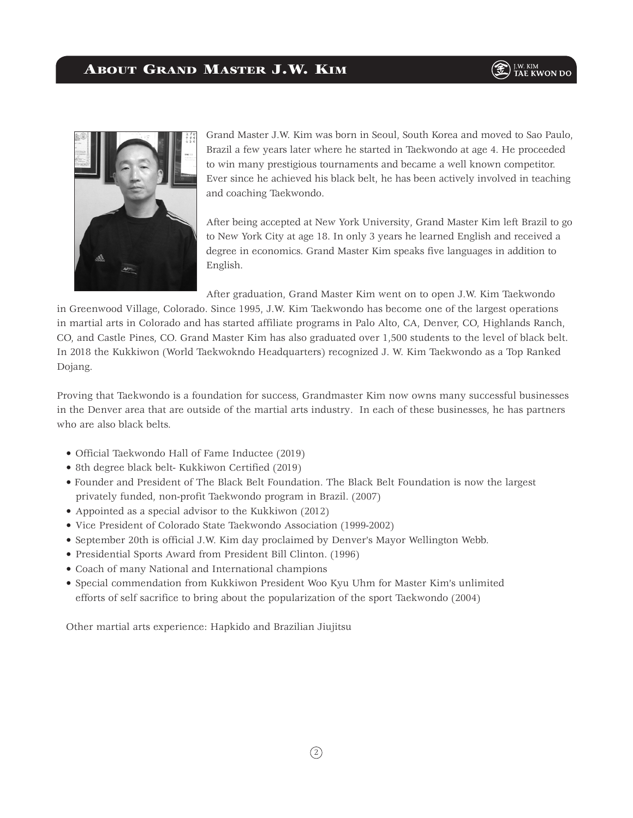

Grand Master J.W. Kim was born in Seoul, South Korea and moved to Sao Paulo, Brazil a few years later where he started in Taekwondo at age 4. He proceeded to win many prestigious tournaments and became a well known competitor. Ever since he achieved his black belt, he has been actively involved in teaching and coaching Taekwondo.

After being accepted at New York University, Grand Master Kim left Brazil to go to New York City at age 18. In only 3 years he learned English and received a degree in economics. Grand Master Kim speaks five languages in addition to English.

After graduation, Grand Master Kim went on to open J.W. Kim Taekwondo

in Greenwood Village, Colorado. Since 1995, J.W. Kim Taekwondo has become one of the largest operations in martial arts in Colorado and has started affiliate programs in Palo Alto, CA, Denver, CO, Highlands Ranch, CO, and Castle Pines, CO. Grand Master Kim has also graduated over 1,500 students to the level of black belt. In 2018 the Kukkiwon (World Taekwokndo Headquarters) recognized J. W. Kim Taekwondo as a Top Ranked Dojang.

Proving that Taekwondo is a foundation for success, Grandmaster Kim now owns many successful businesses in the Denver area that are outside of the martial arts industry. In each of these businesses, he has partners who are also black belts.

- Official Taekwondo Hall of Fame Inductee (2019)
- 8th degree black belt- Kukkiwon Certified (2019)
- Founder and President of The Black Belt Foundation. The Black Belt Foundation is now the largest privately funded, non-profit Taekwondo program in Brazil. (2007)
- Appointed as a special advisor to the Kukkiwon (2012)
- Vice President of Colorado State Taekwondo Association (1999-2002)
- September 20th is official J.W. Kim day proclaimed by Denver's Mayor Wellington Webb.
- Presidential Sports Award from President Bill Clinton. (1996)
- Coach of many National and International champions
- Special commendation from Kukkiwon President Woo Kyu Uhm for Master Kim's unlimited efforts of self sacrifice to bring about the popularization of the sport Taekwondo (2004)

Other martial arts experience: Hapkido and Brazilian Jiujitsu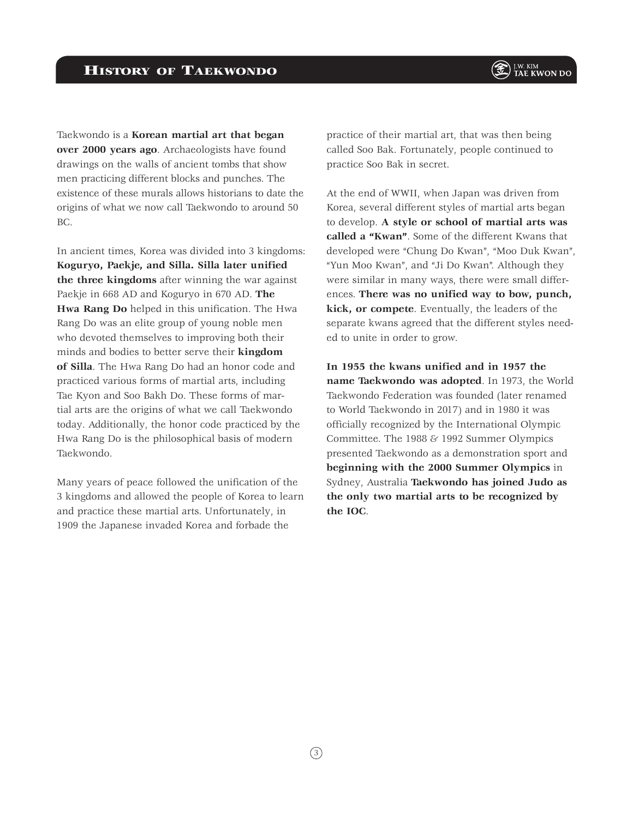Taekwondo is a **Korean martial art that began over 2000 years ago**. Archaeologists have found drawings on the walls of ancient tombs that show men practicing different blocks and punches. The existence of these murals allows historians to date the origins of what we now call Taekwondo to around 50 BC.

In ancient times, Korea was divided into 3 kingdoms: **Koguryo, Paekje, and Silla. Silla later unified the three kingdoms** after winning the war against Paekje in 668 AD and Koguryo in 670 AD. **The Hwa Rang Do** helped in this unification. The Hwa Rang Do was an elite group of young noble men who devoted themselves to improving both their minds and bodies to better serve their **kingdom of Silla**. The Hwa Rang Do had an honor code and practiced various forms of martial arts, including Tae Kyon and Soo Bakh Do. These forms of martial arts are the origins of what we call Taekwondo today. Additionally, the honor code practiced by the Hwa Rang Do is the philosophical basis of modern Taekwondo.

Many years of peace followed the unification of the 3 kingdoms and allowed the people of Korea to learn and practice these martial arts. Unfortunately, in 1909 the Japanese invaded Korea and forbade the

practice of their martial art, that was then being called Soo Bak. Fortunately, people continued to practice Soo Bak in secret.

At the end of WWII, when Japan was driven from Korea, several different styles of martial arts began to develop. **A style or school of martial arts was called a "Kwan"**. Some of the different Kwans that developed were "Chung Do Kwan", "Moo Duk Kwan", "Yun Moo Kwan", and "Ji Do Kwan". Although they were similar in many ways, there were small differences. **There was no unified way to bow, punch, kick, or compete**. Eventually, the leaders of the separate kwans agreed that the different styles needed to unite in order to grow.

**In 1955 the kwans unified and in 1957 the name Taekwondo was adopted**. In 1973, the World Taekwondo Federation was founded (later renamed to World Taekwondo in 2017) and in 1980 it was officially recognized by the International Olympic Committee. The 1988 & 1992 Summer Olympics presented Taekwondo as a demonstration sport and **beginning with the 2000 Summer Olympics** in Sydney, Australia **Taekwondo has joined Judo as the only two martial arts to be recognized by the IOC**.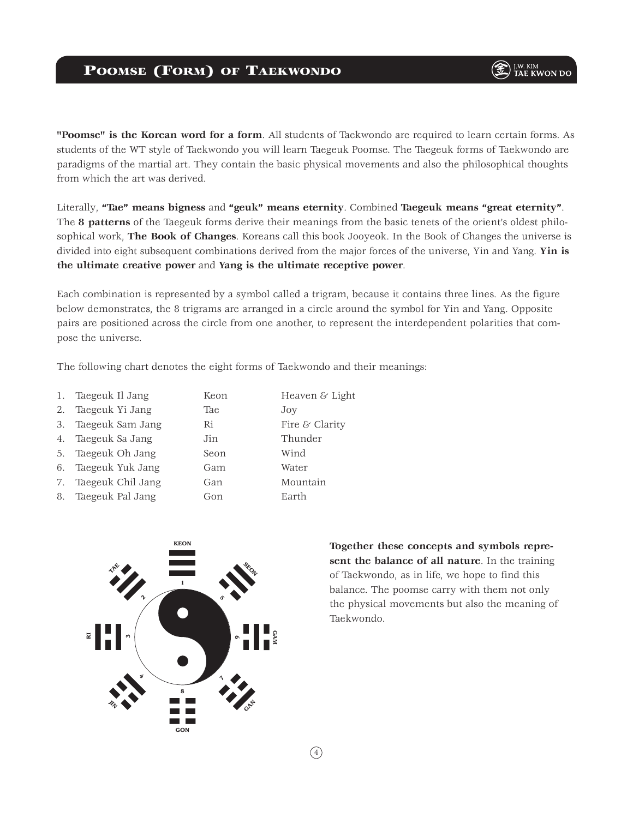**"Poomse" is the Korean word for a form**. All students of Taekwondo are required to learn certain forms. As students of the WT style of Taekwondo you will learn Taegeuk Poomse. The Taegeuk forms of Taekwondo are paradigms of the martial art. They contain the basic physical movements and also the philosophical thoughts from which the art was derived.

Literally, **"Tae" means bigness** and **"geuk" means eternity**. Combined **Taegeuk means "great eternity"**. The **8 patterns** of the Taegeuk forms derive their meanings from the basic tenets of the orient's oldest philosophical work, **The Book of Changes**. Koreans call this book Jooyeok. In the Book of Changes the universe is divided into eight subsequent combinations derived from the major forces of the universe, Yin and Yang. **Yin is the ultimate creative power** and **Yang is the ultimate receptive power**.

Each combination is represented by a symbol called a trigram, because it contains three lines. As the figure below demonstrates, the 8 trigrams are arranged in a circle around the symbol for Yin and Yang. Opposite pairs are positioned across the circle from one another, to represent the interdependent polarities that compose the universe.

The following chart denotes the eight forms of Taekwondo and their meanings:

| Heaven $&$ Light<br>Taegeuk Il Jang<br>1.<br>Keon |  |
|---------------------------------------------------|--|
|---------------------------------------------------|--|

- 2. Taegeuk Yi Jang Tae Joy
- 3. Taegeuk Sam Jang Ri Fire & Clarity
- 4. Taegeuk Sa Jang Jin Thunder
- 5. Taegeuk Oh Jang Seon Wind
- 6. Taegeuk Yuk Jang Gam Water
- 7. Taegeuk Chil Jang Gan Mountain
- 8. Taegeuk Pal Jang Gon Gon Earth



**Together these concepts and symbols represent the balance of all nature**. In the training of Taekwondo, as in life, we hope to find this balance. The poomse carry with them not only the physical movements but also the meaning of Taekwondo.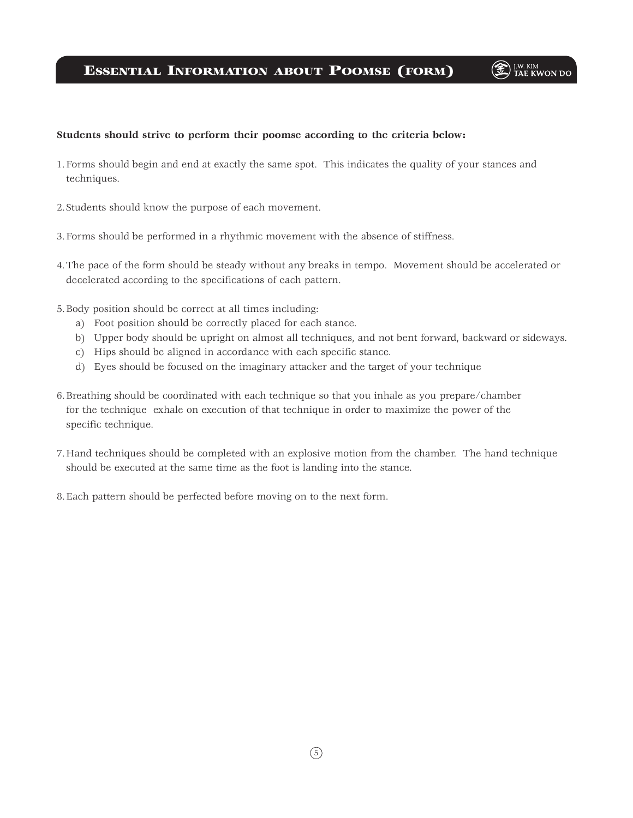### Essential Information about Poomse (form)

# **E** J.W. KIM

#### **Students should strive to perform their poomse according to the criteria below:**

- 1.Forms should begin and end at exactly the same spot. This indicates the quality of your stances and techniques.
- 2.Students should know the purpose of each movement.
- 3.Forms should be performed in a rhythmic movement with the absence of stiffness.
- 4.The pace of the form should be steady without any breaks in tempo. Movement should be accelerated or decelerated according to the specifications of each pattern.
- 5.Body position should be correct at all times including:
	- a) Foot position should be correctly placed for each stance.
	- b) Upper body should be upright on almost all techniques, and not bent forward, backward or sideways.
	- c) Hips should be aligned in accordance with each specific stance.
	- d) Eyes should be focused on the imaginary attacker and the target of your technique
- 6.Breathing should be coordinated with each technique so that you inhale as you prepare/chamber for the technique exhale on execution of that technique in order to maximize the power of the specific technique.
- 7.Hand techniques should be completed with an explosive motion from the chamber. The hand technique should be executed at the same time as the foot is landing into the stance.
- 8.Each pattern should be perfected before moving on to the next form.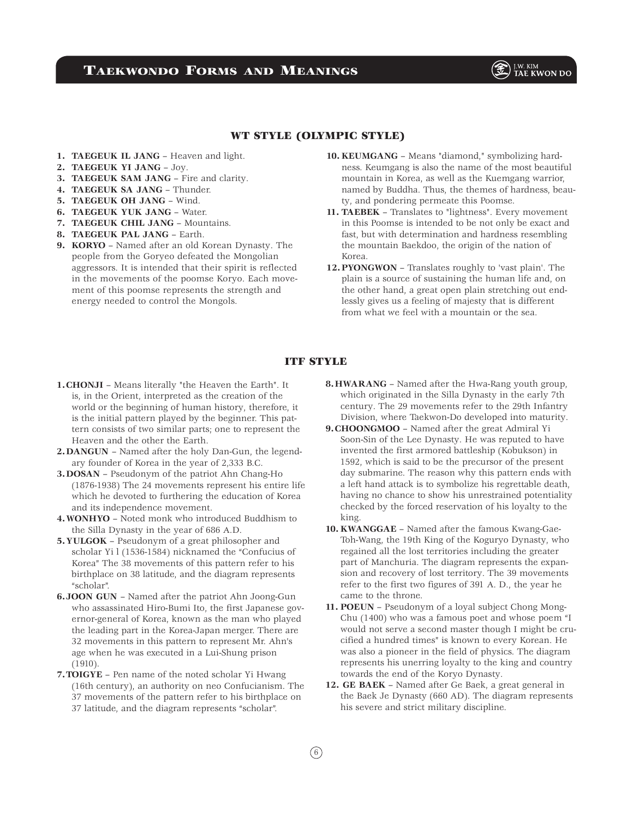### Taekwondo Forms and Meanings

**E FOR TAE KWON** DO

### WT STYLE (OLYMPIC STYLE)

- **1. TAEGEUK IL JANG** Heaven and light.
- **2. TAEGEUK YI JANG** Joy.
- **3. TAEGEUK SAM JANG** Fire and clarity.
- **4. TAEGEUK SA JANG** Thunder.
- **5. TAEGEUK OH JANG** Wind.
- **6. TAEGEUK YUK JANG** Water.
- **7. TAEGEUK CHIL JANG** Mountains.
- **8. TAEGEUK PAL JANG** Earth.
- **9. KORYO** Named after an old Korean Dynasty. The people from the Goryeo defeated the Mongolian aggressors. It is intended that their spirit is reflected in the movements of the poomse Koryo. Each movement of this poomse represents the strength and energy needed to control the Mongols.
- **10. KEUMGANG** Means "diamond," symbolizing hardness. Keumgang is also the name of the most beautiful mountain in Korea, as well as the Kuemgang warrior, named by Buddha. Thus, the themes of hardness, beauty, and pondering permeate this Poomse.
- **11. TAEBEK** Translates to "lightness". Every movement in this Poomse is intended to be not only be exact and fast, but with determination and hardness resembling the mountain Baekdoo, the origin of the nation of Korea.
- **12.PYONGWON** Translates roughly to 'vast plain'. The plain is a source of sustaining the human life and, on the other hand, a great open plain stretching out endlessly gives us a feeling of majesty that is different from what we feel with a mountain or the sea.

### ITF STYLE

- **1.CHONJI** Means literally "the Heaven the Earth". It is, in the Orient, interpreted as the creation of the world or the beginning of human history, therefore, it is the initial pattern played by the beginner. This pattern consists of two similar parts; one to represent the Heaven and the other the Earth.
- **2.DANGUN**  Named after the holy Dan-Gun, the legendary founder of Korea in the year of 2,333 B.C.
- **3.DOSAN** Pseudonym of the patriot Ahn Chang-Ho (1876-1938) The 24 movements represent his entire life which he devoted to furthering the education of Korea and its independence movement.
- **4.WONHYO** Noted monk who introduced Buddhism to the Silla Dynasty in the year of 686 A.D.
- **5.YULGOK** Pseudonym of a great philosopher and scholar Yi l (1536-1584) nicknamed the "Confucius of Korea" The 38 movements of this pattern refer to his birthplace on 38 latitude, and the diagram represents "scholar".
- **6.JOON GUN**  Named after the patriot Ahn Joong-Gun who assassinated Hiro-Bumi Ito, the first Japanese governor-general of Korea, known as the man who played the leading part in the Korea-Japan merger. There are 32 movements in this pattern to represent Mr. Ahn's age when he was executed in a Lui-Shung prison (1910).
- **7.TOIGYE** Pen name of the noted scholar Yi Hwang (16th century), an authority on neo Confucianism. The 37 movements of the pattern refer to his birthplace on 37 latitude, and the diagram represents "scholar".
- **8.HWARANG** Named after the Hwa-Rang youth group, which originated in the Silla Dynasty in the early 7th century. The 29 movements refer to the 29th Infantry Division, where Taekwon-Do developed into maturity.
- **9.CHOONGMOO** Named after the great Admiral Yi Soon-Sin of the Lee Dynasty. He was reputed to have invented the first armored battleship (Kobukson) in 1592, which is said to be the precursor of the present day submarine. The reason why this pattern ends with a left hand attack is to symbolize his regrettable death, having no chance to show his unrestrained potentiality checked by the forced reservation of his loyalty to the king.
- **10. KWANGGAE** Named after the famous Kwang-Gae-Toh-Wang, the 19th King of the Koguryo Dynasty, who regained all the lost territories including the greater part of Manchuria. The diagram represents the expansion and recovery of lost territory. The 39 movements refer to the first two figures of 391 A. D., the year he came to the throne.
- **11. POEUN** Pseudonym of a loyal subject Chong Mong-Chu (1400) who was a famous poet and whose poem "I would not serve a second master though I might be crucified a hundred times" is known to every Korean. He was also a pioneer in the field of physics. The diagram represents his unerring loyalty to the king and country towards the end of the Koryo Dynasty.
- **12. GE BAEK** Named after Ge Baek, a great general in the Baek Je Dynasty (660 AD). The diagram represents his severe and strict military discipline.

 $(6)$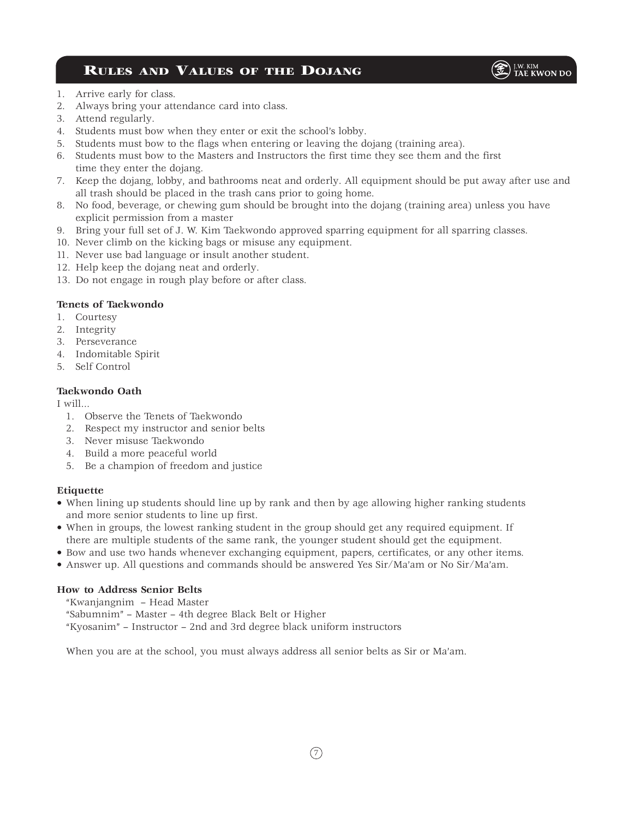## Rules and Values of the Dojang



- 1. Arrive early for class.
- 2. Always bring your attendance card into class.
- 3. Attend regularly.
- 4. Students must bow when they enter or exit the school's lobby.
- 5. Students must bow to the flags when entering or leaving the dojang (training area).
- 6. Students must bow to the Masters and Instructors the first time they see them and the first time they enter the dojang.
- 7. Keep the dojang, lobby, and bathrooms neat and orderly. All equipment should be put away after use and all trash should be placed in the trash cans prior to going home.
- 8. No food, beverage, or chewing gum should be brought into the dojang (training area) unless you have explicit permission from a master
- 9. Bring your full set of J. W. Kim Taekwondo approved sparring equipment for all sparring classes.
- 10. Never climb on the kicking bags or misuse any equipment.
- 11. Never use bad language or insult another student.
- 12. Help keep the dojang neat and orderly.
- 13. Do not engage in rough play before or after class.

### **Tenets of Taekwondo**

- 1. Courtesy
- 2. Integrity
- 3. Perseverance
- 4. Indomitable Spirit
- 5. Self Control

### **Taekwondo Oath**

I will...

- 1. Observe the Tenets of Taekwondo
- 2. Respect my instructor and senior belts
- 3. Never misuse Taekwondo
- 4. Build a more peaceful world
- 5. Be a champion of freedom and justice

### **Etiquette**

- When lining up students should line up by rank and then by age allowing higher ranking students and more senior students to line up first.
- When in groups, the lowest ranking student in the group should get any required equipment. If there are multiple students of the same rank, the younger student should get the equipment.
- Bow and use two hands whenever exchanging equipment, papers, certificates, or any other items.
- Answer up. All questions and commands should be answered Yes Sir/Ma'am or No Sir/Ma'am.

### **How to Address Senior Belts**

"Kwanjangnim – Head Master

"Sabumnim" – Master – 4th degree Black Belt or Higher

"Kyosanim" – Instructor – 2nd and 3rd degree black uniform instructors

When you are at the school, you must always address all senior belts as Sir or Ma'am.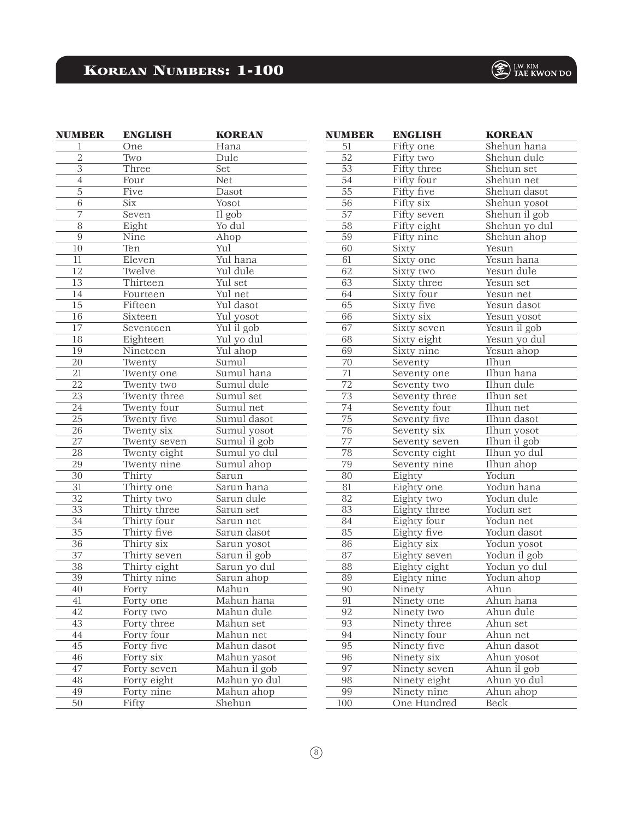# Korean Numbers: 1-100

| <b>NUMBER</b>   | <b>ENGLISH</b> | <b>KOREAN</b> |
|-----------------|----------------|---------------|
| 1               | One            | Hana          |
| 2               | Two            | Dule          |
| $\overline{3}$  | Three          | Set           |
| $\overline{4}$  | Four           | Net           |
| $\overline{5}$  | Five           | Dasot         |
| $\overline{6}$  | Six            | Yosot         |
| 7               | Seven          | Il gob        |
| 8               | Eight          | Yo dul        |
| $\overline{9}$  | Nine           | Ahop          |
| 10              | Ten            | Yul           |
| $\overline{1}1$ | Eleven         | Yul hana      |
| 12              | Twelve         | Yul dule      |
| $\overline{13}$ | Thirteen       | Yul set       |
| 14              | Fourteen       | Yul net       |
| 15              | Fifteen        | Yul dasot     |
| 16              | Sixteen        | Yul yosot     |
| 17              | Seventeen      | Yul il gob    |
| 18              | Eighteen       | Yul yo dul    |
| 19              | Nineteen       | Yul ahop      |
| $\overline{20}$ | Twenty         | Sumul         |
| 21              | Twenty one     | Sumul hana    |
| 22              | Twenty two     | Sumul dule    |
| 23              | Twenty three   | Sumul set     |
| 24              | Twenty four    | Sumul net     |
| $\overline{25}$ | Twenty five    | Sumul dasot   |
| $\overline{2}6$ | Twenty six     | Sumul yosot   |
| 27              | Twenty seven   | Sumul il gob  |
| 28              | Twenty eight   | Sumul yo dul  |
| 29              | Twenty nine    | Sumul ahop    |
| 30              | Thirty         | Sarun         |
| $\overline{31}$ | Thirty one     | Sarun hana    |
| $\overline{32}$ | Thirty two     | Sarun dule    |
| 33              | Thirty three   | Sarun set     |
| 34              | Thirty four    | Sarun net     |
| $\overline{35}$ | Thirty five    | Sarun dasot   |
| 36              | Thirty six     | Sarun yosot   |
| $\overline{37}$ | Thirty seven   | Sarun il gob  |
| 38              | Thirty eight   | Sarun yo dul  |
| 39              | Thirty nine    | Sarun ahop    |
| 40              | Forty          | Mahun         |
| 41              | Forty one      | Mahun hana    |
| 42              | Forty two      | Mahun dule    |
| 43              | Forty three    | Mahun set     |
| 44              | Forty four     | Mahun net     |
| 45              | Forty five     | Mahun dasot   |
| 46              | Forty six      | Mahun yasot   |
| 47              | Forty seven    | Mahun il gob  |
| 48              | Forty eight    | Mahun yo dul  |
| 49              | Forty nine     | Mahun ahop    |
| 50              | Fifty          | Shehun        |

| <b>NUMBER</b>   | <b>ENGLISH</b> | <b>KOREAN</b>                     |
|-----------------|----------------|-----------------------------------|
| 51              | Fifty one      | Shehun hana                       |
| 52              | Fifty two      | Shehun dule                       |
| 53              | Fifty three    | Shehun set                        |
| 54              | Fifty four     | Shehun net                        |
| 55              | Fifty five     | Shehun dasot                      |
| 56              | Fifty six      | Shehun yosot                      |
| $\overline{57}$ | Fifty seven    | $\overline{\text{Shehun il}}$ gob |
| 58              | Fifty eight    | Shehun yo dul                     |
| 59              | Fifty nine     | Shehun ahop                       |
| 60              | Sixty          | $\overline{\text{Y}}$ esun        |
| 61              | Sixty one      | Yesun hana                        |
| 62              | Sixty two      | Yesun dule                        |
| 63              | Sixty three    | Yesun set                         |
| 64              | Sixty four     | Yesun net                         |
| 65              | Sixty five     | Yesun dasot                       |
| 66              | Sixty six      | Yesun yosot                       |
| 67              | Sixty seven    | Yesun il gob                      |
| 68              | Sixty eight    | Yesun yo dul                      |
| 69              | Sixty nine     | Yesun ahop                        |
| 70              | Seventy        | Ilhun                             |
| $\overline{71}$ | Seventy one    | Ilhun hana                        |
| 72              | Seventy two    | Ilhun dule                        |
| 73              | Seventy three  | Ilhun set                         |
| 74              | Seventy four   | Ilhun net                         |
| 75              | Seventy five   | Ilhun dasot                       |
| 76              | Seventy six    | Ilhun yosot                       |
| $\overline{77}$ | Seventy seven  | Ilhun il gob                      |
| 78              | Seventy eight  | Ilhun yo dul                      |
| 79              | Seventy nine   | Ilhun ahop                        |
| 80              | Eighty         | Yodun                             |
| 81              | Eighty one     | Yodun hana                        |
| 82              | Eighty two     | Yodun dule                        |
| 83              | Eighty three   | Yodun set                         |
| 84              | Eighty four    | Yodun net                         |
| 85              | Eighty five    | Yodun dasot                       |
| 86              | Eighty six     | Yodun yosot                       |
| 87              | Eighty seven   | Yodun il gob                      |
| 88              | Eighty eight   | Yodun yo dul                      |
| 89              | Eighty nine    | Yodun ahop                        |
| $\overline{90}$ | Ninety         | Ahun                              |
| 91              | Ninety one     | Ahun hana                         |
| 92              | Ninety two     | Ahun dule                         |
| 93              | Ninety three   | Ahun set                          |
| 94              | Ninety four    | Ahun net                          |
| 95              | Ninety five    | Ahun dasot                        |
| 96              | Ninety six     | Ahun yosot                        |
| 97              | Ninety seven   | Ahun il gob                       |
| 98              | Ninety eight   | Ahun yo dul                       |
| 99              | Ninety nine    | Ahun ahop                         |
| 100             | One Hundred    | <b>Beck</b>                       |

# $\bigcircled{{\mathbb{Z}}}$   $\Big\}^{\mathsf{I.W. KIM}}_{\mathsf{TAE KWON\,DO}}$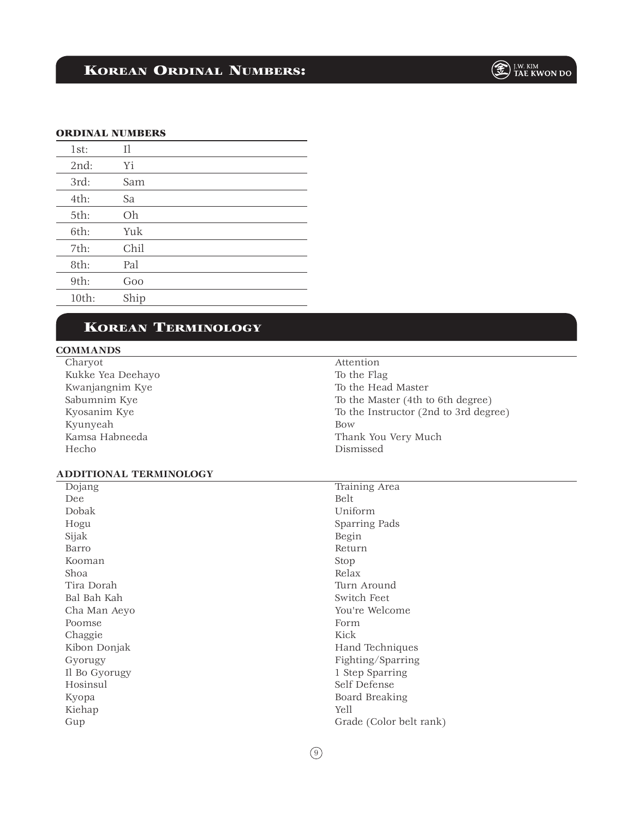# Korean Ordinal Numbers:

#### ORDINAL NUMBERS

| 1st:  | 11   |
|-------|------|
| 2nd:  | Υi   |
| 3rd:  | Sam  |
| 4th:  | Sa   |
| 5th:  | Oh   |
| 6th:  | Yuk  |
| 7th:  | Chil |
| 8th:  | Pal  |
| 9th:  | Goo  |
| 10th: | Ship |
|       |      |

### Korean Terminology

### **COMMANDS**

Charyot Kukke Yea Deehayo Kwanjangnim Kye Sabumnim Kye Kyosanim Kye Kyunyeah Kamsa Habneeda Hecho

### Attention To the Flag To the Head Master To the Master (4th to 6th degree) To the Instructor (2nd to 3rd degree) Bow Thank You Very Much Dismissed

### **ADDITIONAL TERMINOLOGY**

| Dojang        | Training Area           |
|---------------|-------------------------|
| Dee           | Belt                    |
| Dobak         | Uniform                 |
| Hogu          | Sparring Pads           |
| Sijak         | Begin                   |
| Barro         | Return                  |
| Kooman        | Stop                    |
| Shoa          | Relax                   |
| Tira Dorah    | Turn Around             |
| Bal Bah Kah   | Switch Feet             |
| Cha Man Aeyo  | You're Welcome          |
| Poomse        | Form                    |
| Chaggie       | Kick                    |
| Kibon Donjak  | Hand Techniques         |
| Gyorugy       | Fighting/Sparring       |
| Il Bo Gyorugy | 1 Step Sparring         |
| Hosinsul      | Self Defense            |
| Kyopa         | Board Breaking          |
| Kiehap        | Yell                    |
| Gup           | Grade (Color belt rank) |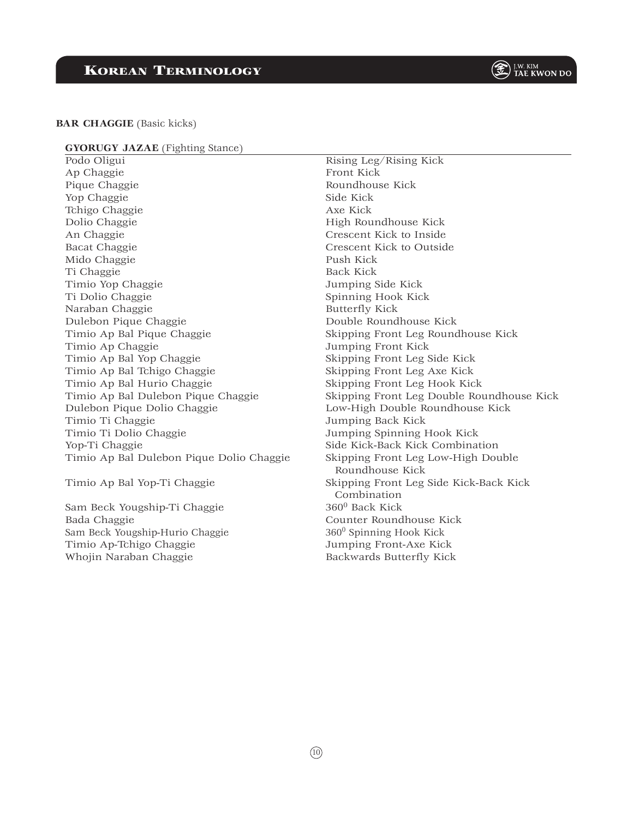#### **BAR CHAGGIE** (Basic kicks)

#### **GYORUGY JAZAE** (Fighting Stance)

Podo Oligui Ap Chaggie Pique Chaggie Yop Chaggie Tchigo Chaggie Dolio Chaggie An Chaggie Bacat Chaggie Mido Chaggie Ti Chaggie Timio Yop Chaggie Ti Dolio Chaggie Naraban Chaggie Dulebon Pique Chaggie Timio Ap Bal Pique Chaggie Timio Ap Chaggie Timio Ap Bal Yop Chaggie Timio Ap Bal Tchigo Chaggie Timio Ap Bal Hurio Chaggie Timio Ap Bal Dulebon Pique Chaggie Dulebon Pique Dolio Chaggie Timio Ti Chaggie Timio Ti Dolio Chaggie Yop-Ti Chaggie Timio Ap Bal Dulebon Pique Dolio Chaggie

Timio Ap Bal Yop-Ti Chaggie

Sam Beck Yougship-Ti Chaggie Bada Chaggie Sam Beck Yougship-Hurio Chaggie Timio Ap-Tchigo Chaggie Whojin Naraban Chaggie

Rising Leg/Rising Kick Front Kick Roundhouse Kick Side Kick Axe Kick High Roundhouse Kick Crescent Kick to Inside Crescent Kick to Outside Push Kick Back Kick Jumping Side Kick Spinning Hook Kick Butterfly Kick Double Roundhouse Kick Skipping Front Leg Roundhouse Kick Jumping Front Kick Skipping Front Leg Side Kick Skipping Front Leg Axe Kick Skipping Front Leg Hook Kick Skipping Front Leg Double Roundhouse Kick Low-High Double Roundhouse Kick Jumping Back Kick Jumping Spinning Hook Kick Side Kick-Back Kick Combination Skipping Front Leg Low-High Double Roundhouse Kick Skipping Front Leg Side Kick-Back Kick Combination 3600 Back Kick Counter Roundhouse Kick  $360<sup>0</sup>$  Spinning Hook Kick Jumping Front-Axe Kick

Backwards Butterfly Kick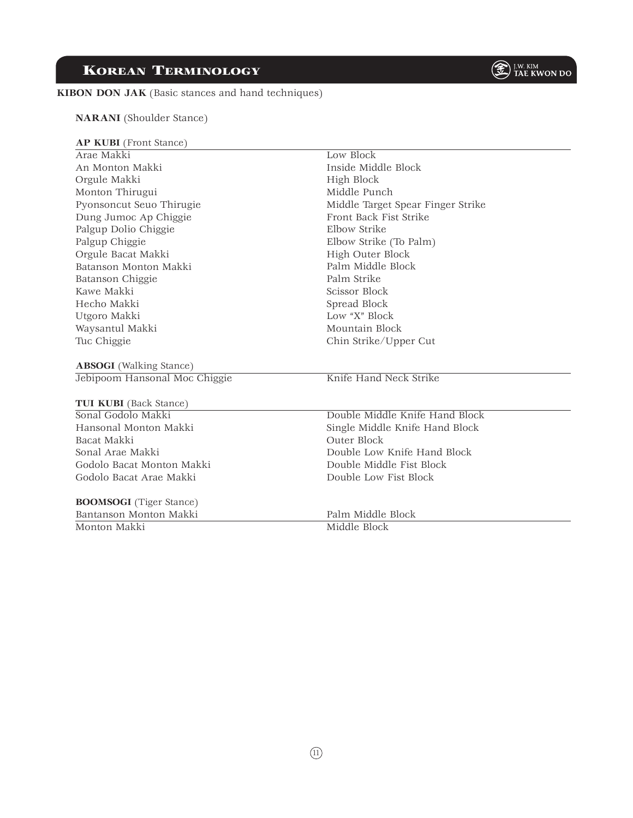**KIBON DON JAK** (Basic stances and hand techniques)

Korean Terminology

| Palgup Chiggie        |
|-----------------------|
| Orgule Bacat Makki    |
| Batanson Monton Makki |
| Batanson Chiggie      |
| Kawe Makki            |
| Hecho Makki           |
| Utgoro Makki          |
| Waysantul Makki       |
| Tuc Chiggie           |

**NARANI** (Shoulder Stance)

**AP KUBI** (Front Stance)

 Pyonsoncut Seuo Thirugie Dung Jumoc Ap Chiggie Palgup Dolio Chiggie

 Arae Makki An Monton Makki Orgule Makki Monton Thirugui

 **ABSOGI** (Walking Stance) Jebipoom Hansonal Moc Chiggie

### **TUI KUBI** (Back Stance)

 Sonal Godolo Makki Hansonal Monton Makki Bacat Makki Sonal Arae Makki Godolo Bacat Monton Makki Godolo Bacat Arae Makki

**BOOMSOGI** (Tiger Stance)

 Bantanson Monton Makki Monton Makki

Front Back Fist Strike Elbow Strike Elbow Strike (To Palm) High Outer Block Palm Middle Block Palm Strike Scissor Block Spread Block Low "X" Block Mountain Block Chin Strike/Upper Cut Knife Hand Neck Strike

Middle Target Spear Finger Strike

Low Block

High Block Middle Punch

Inside Middle Block

Double Middle Knife Hand Block Single Middle Knife Hand Block Outer Block Double Low Knife Hand Block Double Middle Fist Block Double Low Fist Block

Palm Middle Block

Middle Block

 $(n)$